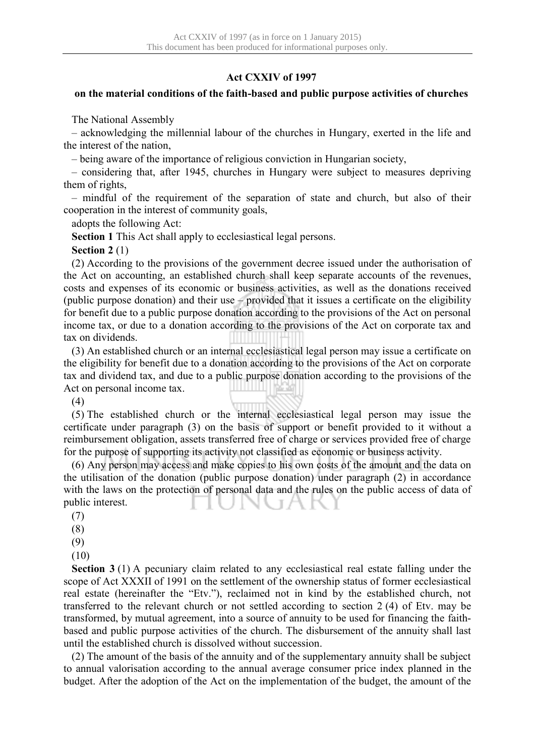## **Act CXXIV of 1997**

## **on the material conditions of the faith-based and public purpose activities of churches**

The National Assembly

– acknowledging the millennial labour of the churches in Hungary, exerted in the life and the interest of the nation,

– being aware of the importance of religious conviction in Hungarian society,

– considering that, after 1945, churches in Hungary were subject to measures depriving them of rights,

– mindful of the requirement of the separation of state and church, but also of their cooperation in the interest of community goals,

adopts the following Act:

**Section 1** This Act shall apply to ecclesiastical legal persons.

**Section 2** (1)

(2) According to the provisions of the government decree issued under the authorisation of the Act on accounting, an established church shall keep separate accounts of the revenues, costs and expenses of its economic or business activities, as well as the donations received (public purpose donation) and their use – provided that it issues a certificate on the eligibility for benefit due to a public purpose donation according to the provisions of the Act on personal income tax, or due to a donation according to the provisions of the Act on corporate tax and tax on dividends.

(3) An established church or an internal ecclesiastical legal person may issue a certificate on the eligibility for benefit due to a donation according to the provisions of the Act on corporate tax and dividend tax, and due to a public purpose donation according to the provisions of the Act on personal income tax.

(4)

(5) The established church or the internal ecclesiastical legal person may issue the certificate under paragraph (3) on the basis of support or benefit provided to it without a reimbursement obligation, assets transferred free of charge or services provided free of charge for the purpose of supporting its activity not classified as economic or business activity.

(6) Any person may access and make copies to his own costs of the amount and the data on the utilisation of the donation (public purpose donation) under paragraph (2) in accordance with the laws on the protection of personal data and the rules on the public access of data of public interest.

- (7)
- (8)
- (9)
- (10)

**Section 3** (1) A pecuniary claim related to any ecclesiastical real estate falling under the scope of Act XXXII of 1991 on the settlement of the ownership status of former ecclesiastical real estate (hereinafter the "Etv."), reclaimed not in kind by the established church, not transferred to the relevant church or not settled according to section 2 (4) of Etv. may be transformed, by mutual agreement, into a source of annuity to be used for financing the faithbased and public purpose activities of the church. The disbursement of the annuity shall last until the established church is dissolved without succession.

(2) The amount of the basis of the annuity and of the supplementary annuity shall be subject to annual valorisation according to the annual average consumer price index planned in the budget. After the adoption of the Act on the implementation of the budget, the amount of the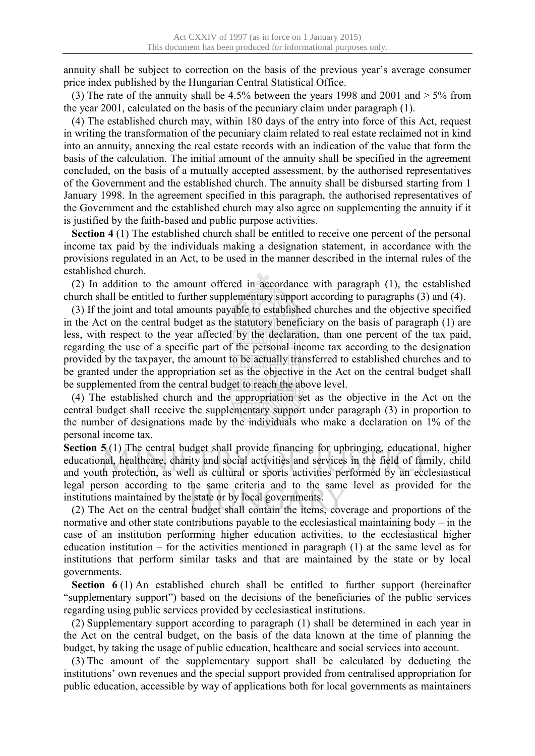annuity shall be subject to correction on the basis of the previous year's average consumer price index published by the Hungarian Central Statistical Office.

(3) The rate of the annuity shall be 4.5% between the years 1998 and 2001 and  $> 5\%$  from the year 2001, calculated on the basis of the pecuniary claim under paragraph (1).

(4) The established church may, within 180 days of the entry into force of this Act, request in writing the transformation of the pecuniary claim related to real estate reclaimed not in kind into an annuity, annexing the real estate records with an indication of the value that form the basis of the calculation. The initial amount of the annuity shall be specified in the agreement concluded, on the basis of a mutually accepted assessment, by the authorised representatives of the Government and the established church. The annuity shall be disbursed starting from 1 January 1998. In the agreement specified in this paragraph, the authorised representatives of the Government and the established church may also agree on supplementing the annuity if it is justified by the faith-based and public purpose activities.

**Section 4** (1) The established church shall be entitled to receive one percent of the personal income tax paid by the individuals making a designation statement, in accordance with the provisions regulated in an Act, to be used in the manner described in the internal rules of the established church.

(2) In addition to the amount offered in accordance with paragraph (1), the established church shall be entitled to further supplementary support according to paragraphs (3) and (4).

(3) If the joint and total amounts payable to established churches and the objective specified in the Act on the central budget as the statutory beneficiary on the basis of paragraph (1) are less, with respect to the year affected by the declaration, than one percent of the tax paid, regarding the use of a specific part of the personal income tax according to the designation provided by the taxpayer, the amount to be actually transferred to established churches and to be granted under the appropriation set as the objective in the Act on the central budget shall be supplemented from the central budget to reach the above level.

(4) The established church and the appropriation set as the objective in the Act on the central budget shall receive the supplementary support under paragraph (3) in proportion to the number of designations made by the individuals who make a declaration on 1% of the personal income tax.

**Section 5** (1) The central budget shall provide financing for upbringing, educational, higher educational, healthcare, charity and social activities and services in the field of family, child and youth protection, as well as cultural or sports activities performed by an ecclesiastical legal person according to the same criteria and to the same level as provided for the institutions maintained by the state or by local governments.

(2) The Act on the central budget shall contain the items, coverage and proportions of the normative and other state contributions payable to the ecclesiastical maintaining body – in the case of an institution performing higher education activities, to the ecclesiastical higher education institution – for the activities mentioned in paragraph  $(1)$  at the same level as for institutions that perform similar tasks and that are maintained by the state or by local governments.

**Section 6** (1) An established church shall be entitled to further support (hereinafter "supplementary support") based on the decisions of the beneficiaries of the public services regarding using public services provided by ecclesiastical institutions.

(2) Supplementary support according to paragraph (1) shall be determined in each year in the Act on the central budget, on the basis of the data known at the time of planning the budget, by taking the usage of public education, healthcare and social services into account.

(3) The amount of the supplementary support shall be calculated by deducting the institutions' own revenues and the special support provided from centralised appropriation for public education, accessible by way of applications both for local governments as maintainers